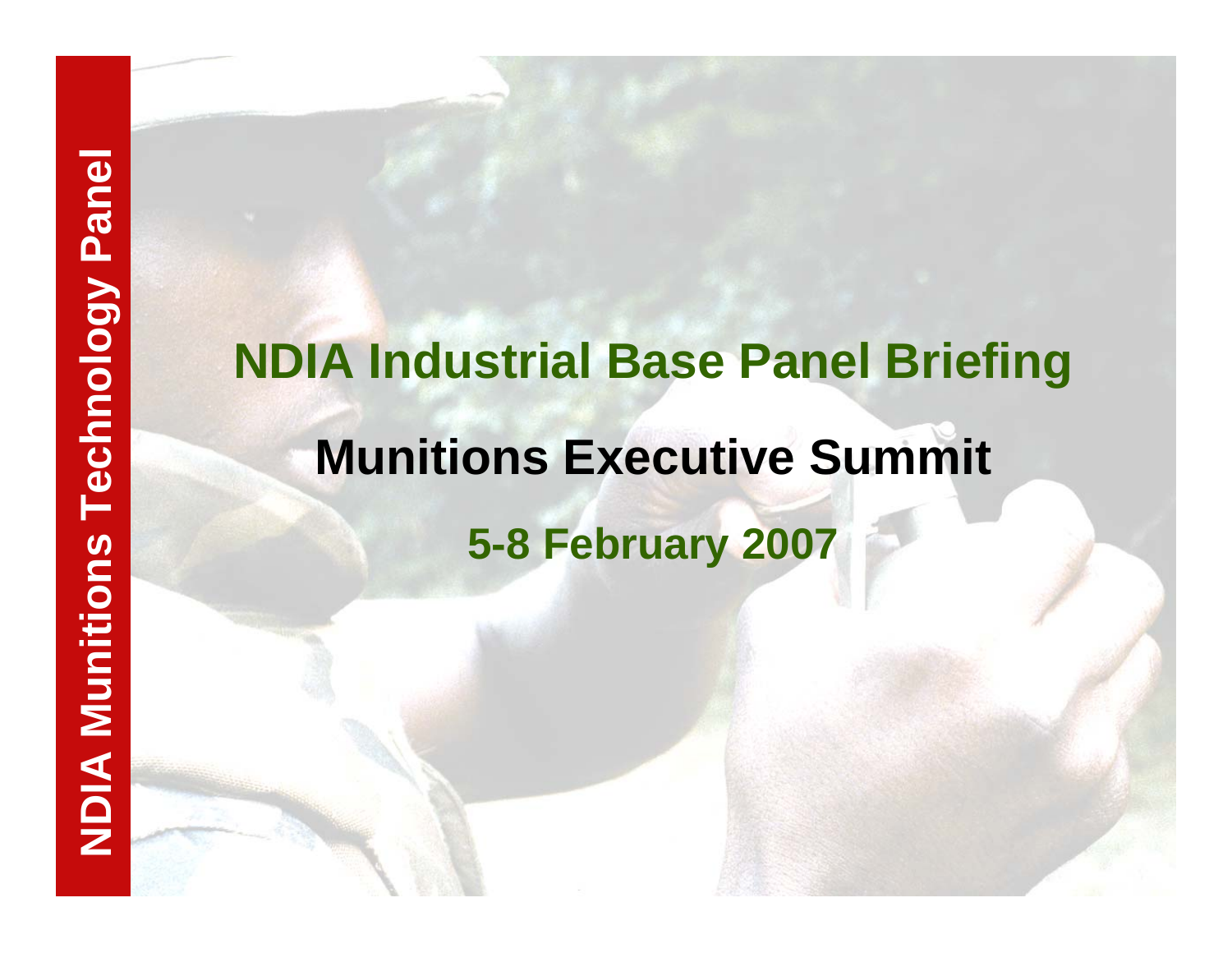# **NDIA Industrial Base Panel Briefing<br>
Munitions Executive Summit<br>
5-8 February 2007<br>
<b>SA February 2007**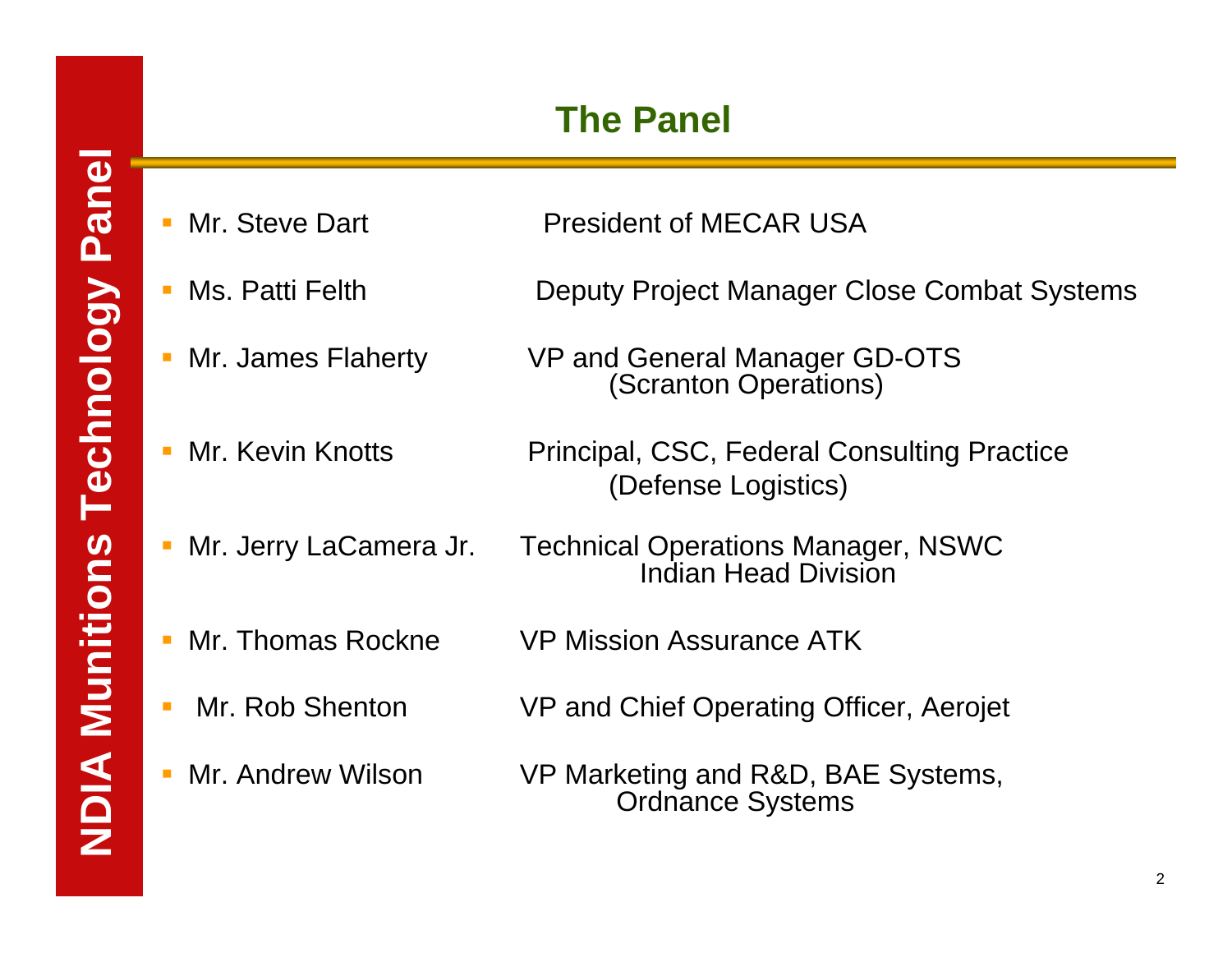# **The Panel**

- Mr. Steve Dart
- 
- 
- П
- 
- Mr. Thomas Rockne VP Mission Assurance ATK
- 
- 
- **President of MECAR USA**
- Ms. Patti Felth Deputy Project Manager Close Combat Systems
- Mr. James Flaherty VP and General Manager GD-OTS (Scranton Operations)
- Mr. Kevin Knotts Principal, CSC, Federal Consulting Practice (Defense Logistics)
- Mr. Jerry LaCamera Jr. Technical Operations Manager, NSWC Indian Head Division
	-
- Mr. Rob Shenton VP and Chief Operating Officer, Aerojet
- Mr. Andrew Wilson VP Marketing and R&D, BAE Systems, Ordnance Systems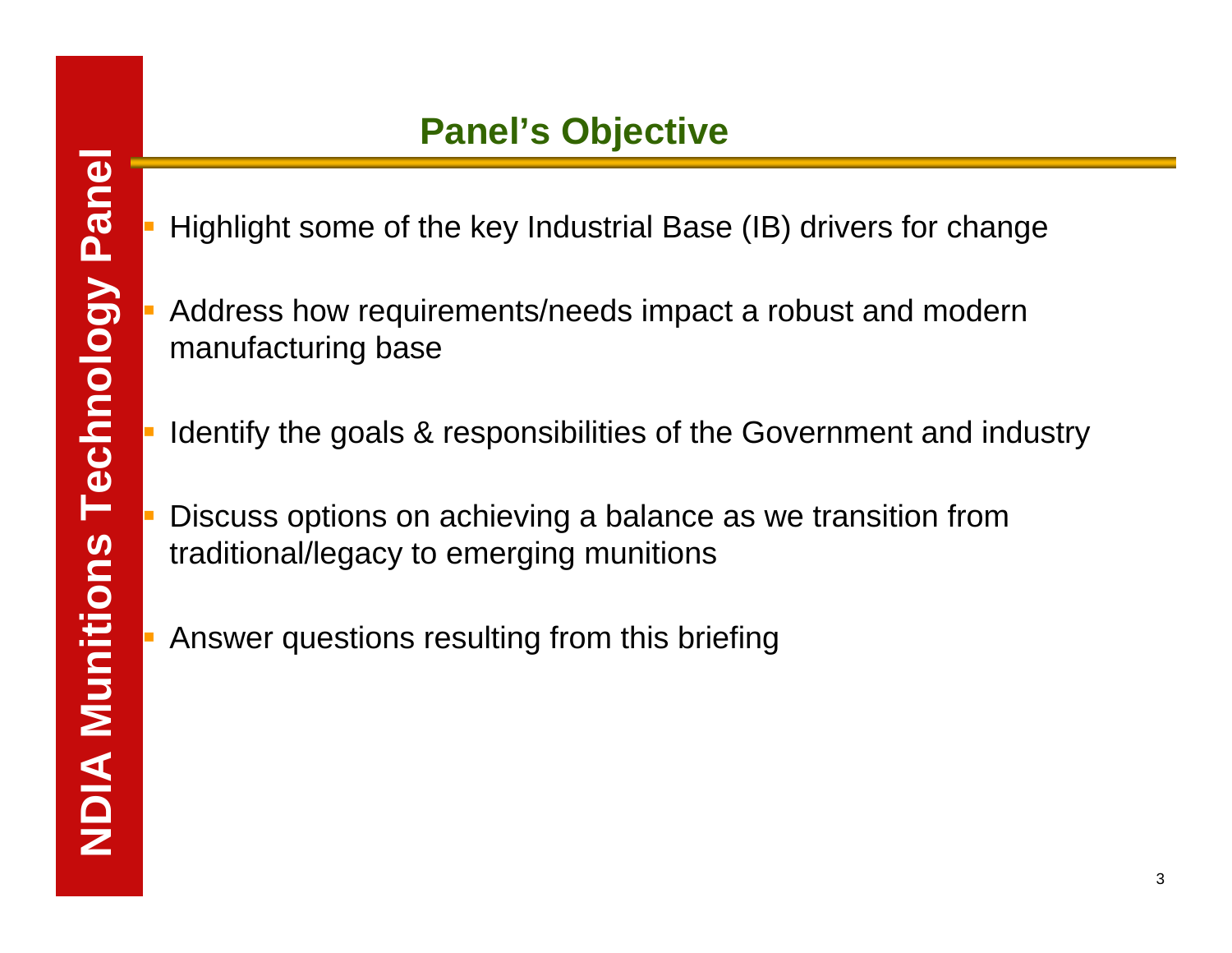Highlight some of the key Industrial Base (IB) drivers for change

**NDIA Munitions Technology PanelPanel's Objective** Address how requirements/needs impact a robust and modern manufacturing base

Identify the goals & responsibilities of the Government and industry

 Discuss options on achieving a balance as we transition from traditional/legacy to emerging munitions

Answer questions resulting from this briefing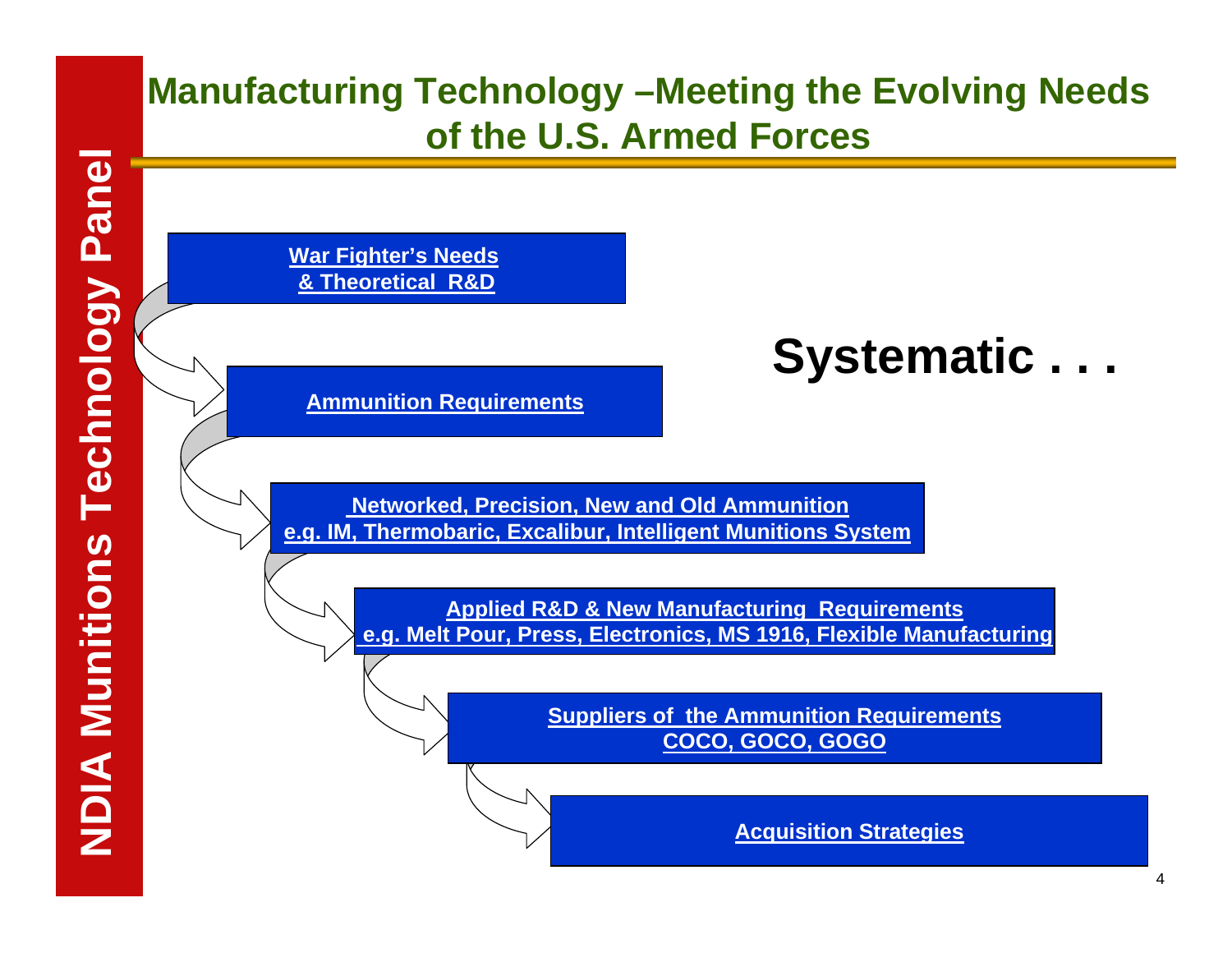## **Manufacturing Technology –Meeting the Evolving Needs of the U.S. Armed Forces**

**War Fighter's Needs & Theoretical R&D**

**Ammunition Requirements**

**Networked, Precision, New and Old Ammunition e.g. IM, Thermobaric, Excalibur, Intelligent Munitions System**

> **Applied R&D & New Manufacturing Requirements e.g. Melt Pour, Press, Electronics, MS 1916, Flexible Manufacturing**

> > **Suppliers of the Ammunition Requirements COCO, GOCO, GOGO**

> > > **Acquisition Strategies**

**Systematic . . .**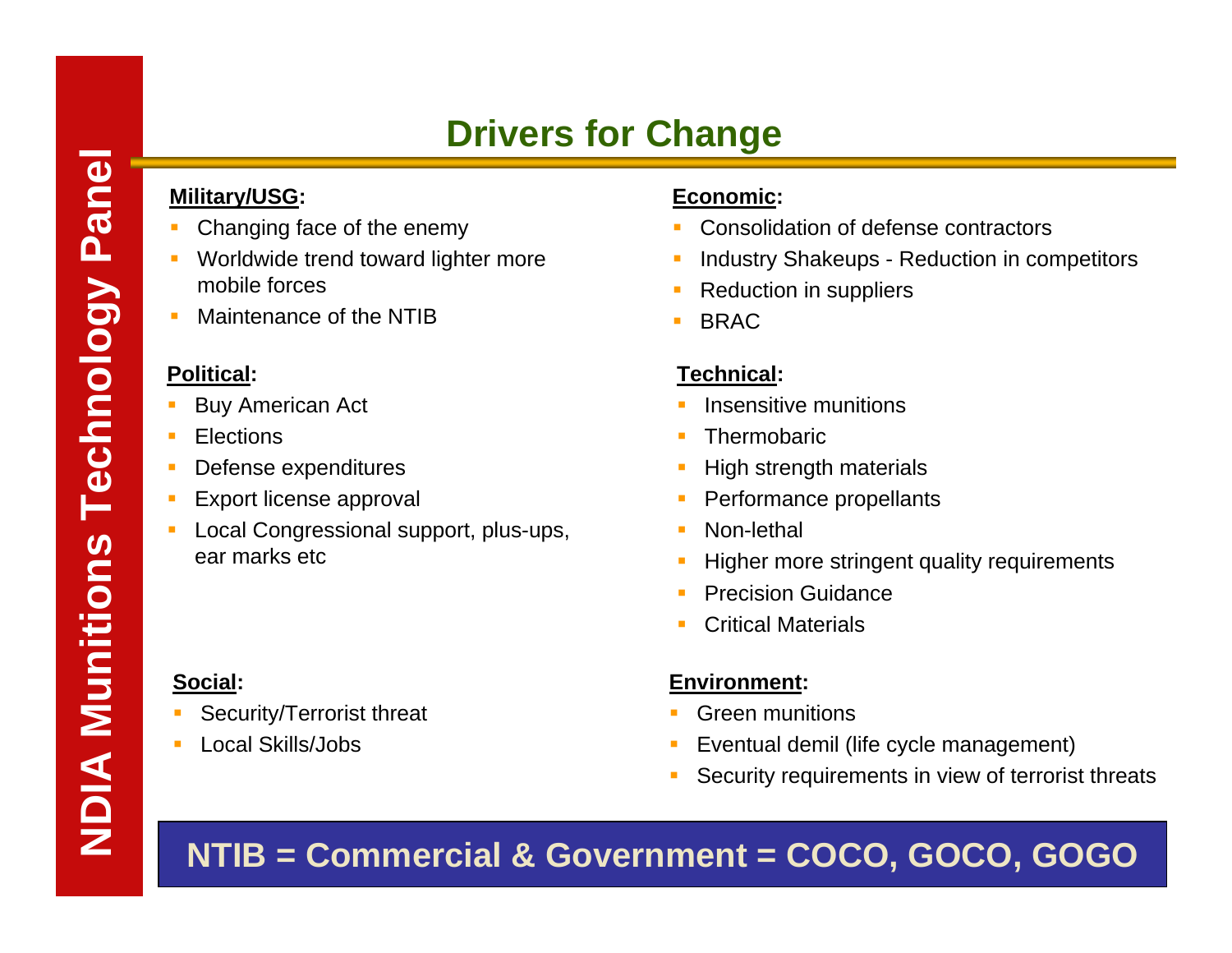- Changing face of the enemy
- Worldwide trend toward lighter more mobile forces
- $\mathcal{L}_{\mathcal{A}}$ Maintenance of the NTIB

### **Political:**

- Buy American Act
- **Elections**

**Social:**

- Defense expenditures
- Export license approval

Security/Terrorist threat

Local Skills/Jobs

 Local Congressional support, plus-ups, ear marks etc

### **Economic:**

- Consolidation of defense contractors
- Industry Shakeups Reduction in competitors
- Reduction in suppliers
- BRAC

### **Technical:**

- Insensitive munitions
- **Thermobaric**
- High strength materials
- Performance propellants
- Non-lethal
- Higher more stringent quality requirements
- Precision Guidance
- Critical Materials

### **Environment:**

- Green munitions
- Eventual demil (life cycle management)
- Security requirements in view of terrorist threats

### **NTIB = Commercial & Government = COCO, GOCO, GOGO**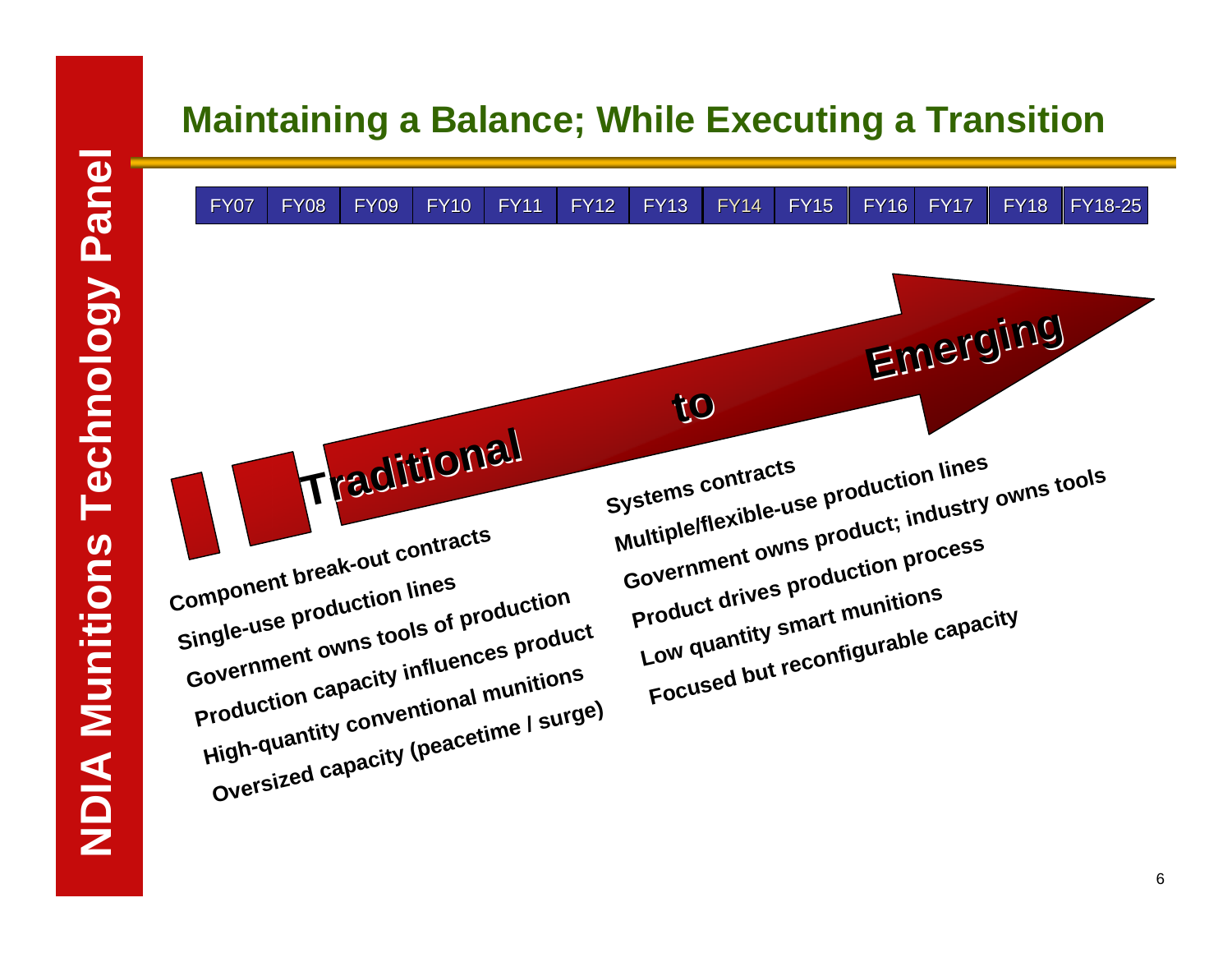### **Maintaining a Balance; While Executing a Transition**

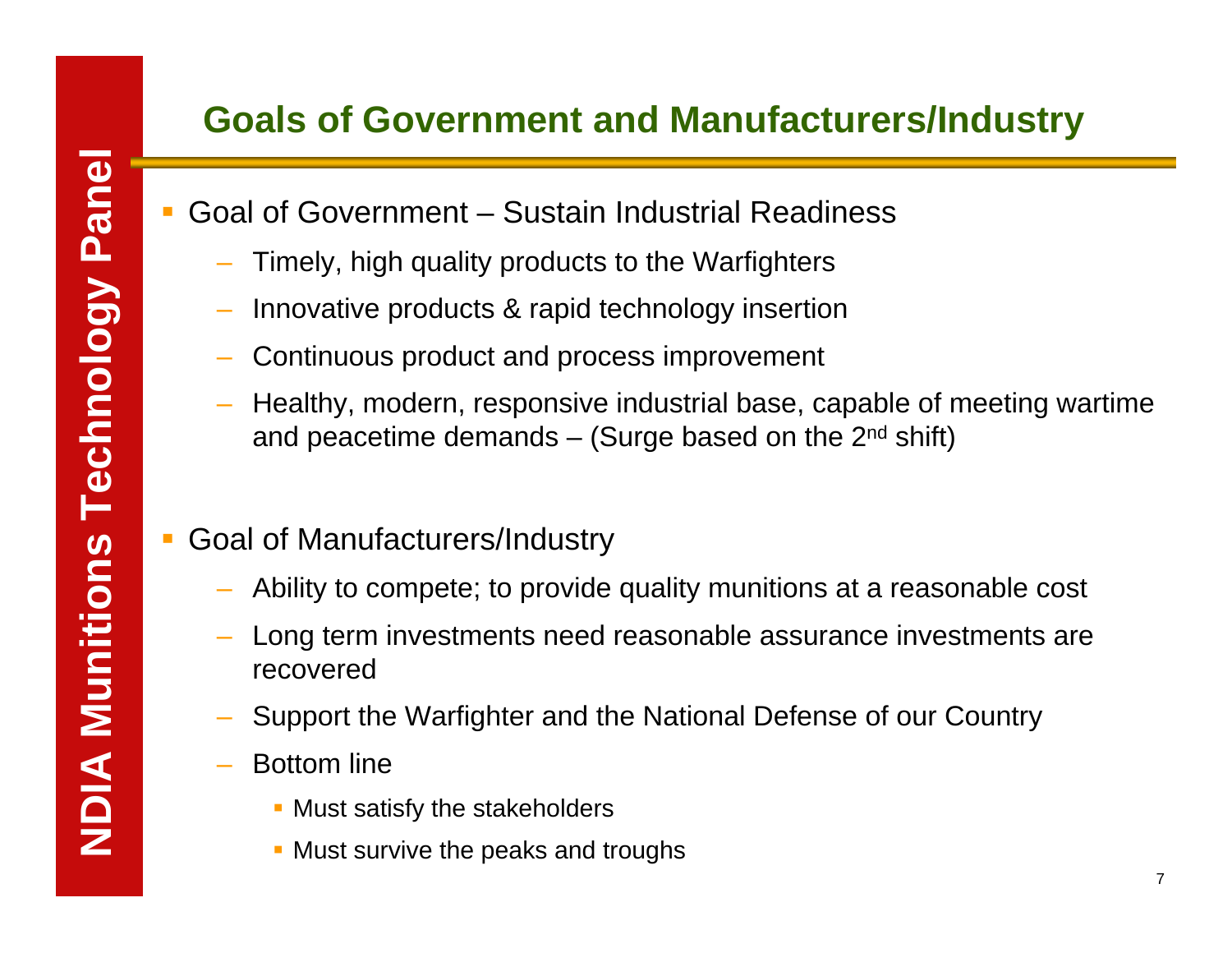- Goal of Government Sustain Industrial Readiness
	- Timely, high quality products to the Warfighters
	- Innovative products & rapid technology insertion
	- Continuous product and process improvement
	- Healthy, modern, responsive industrial base, capable of meeting wartime and peacetime demands  $-$  (Surge based on the 2<sup>nd</sup> shift)
- Goal of Manufacturers/Industry
	- Ability to compete; to provide quality munitions at a reasonable cost
	- Long term investments need reasonable assurance investments are recovered
	- Support the Warfighter and the National Defense of our Country
	- Bottom line
		- **Must satisfy the stakeholders**
		- **Must survive the peaks and troughs**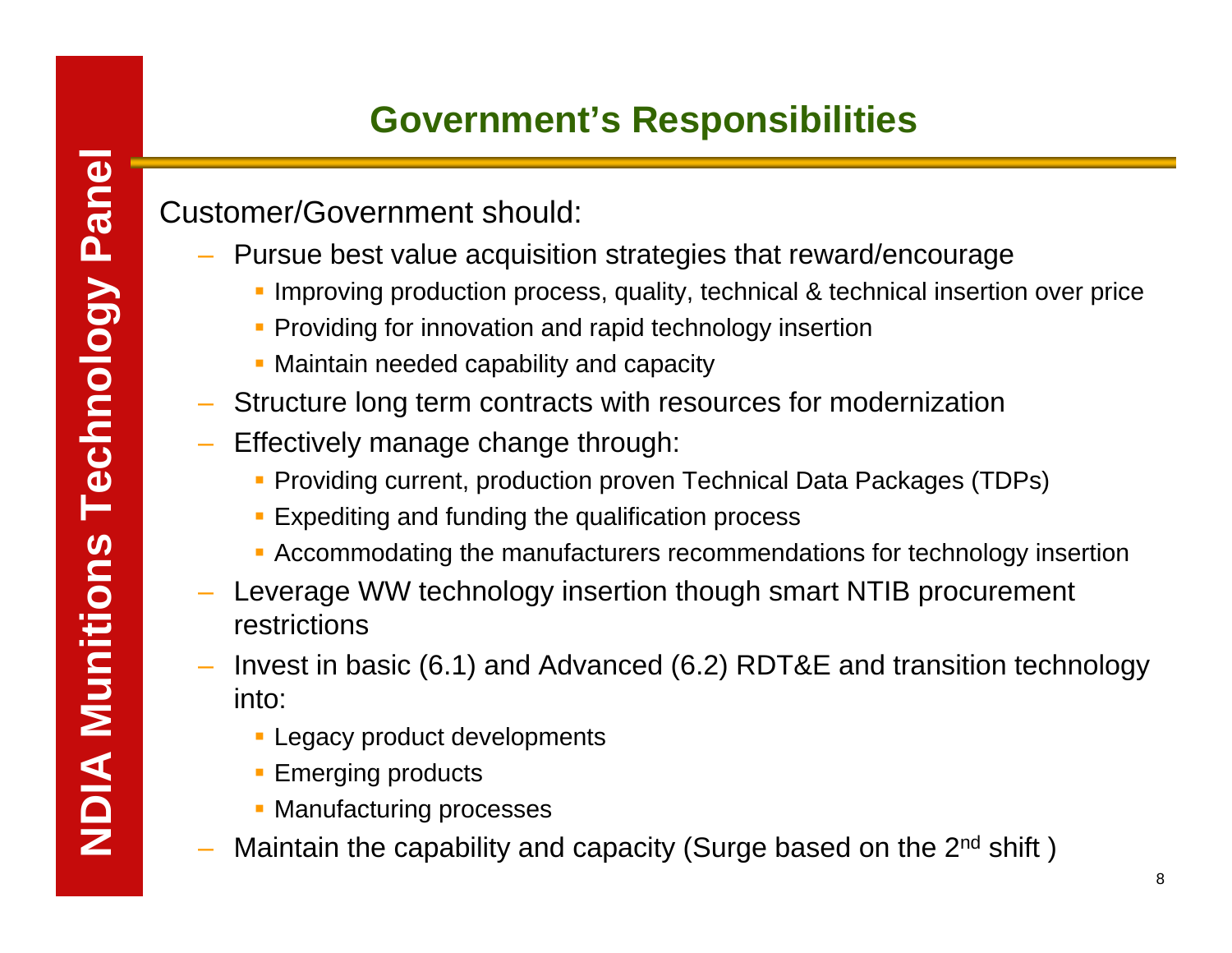# **Government's Responsibilities**

Customer/Government should:

- Pursue best value acquisition strategies that reward/encourage
	- **Improving production process, quality, technical & technical insertion over price**
	- **Providing for innovation and rapid technology insertion**
	- Maintain needed capability and capacity
- Structure long term contracts with resources for modernization
- Effectively manage change through:
	- Providing current, production proven Technical Data Packages (TDPs)
	- **Expediting and funding the qualification process**
	- Accommodating the manufacturers recommendations for technology insertion
- Leverage WW technology insertion though smart NTIB procurement restrictions
- Invest in basic (6.1) and Advanced (6.2) RDT&E and transition technology into:
	- **Legacy product developments**
	- **Emerging products**
	- **Manufacturing processes**
- Maintain the capability and capacity (Surge based on the 2<sup>nd</sup> shift)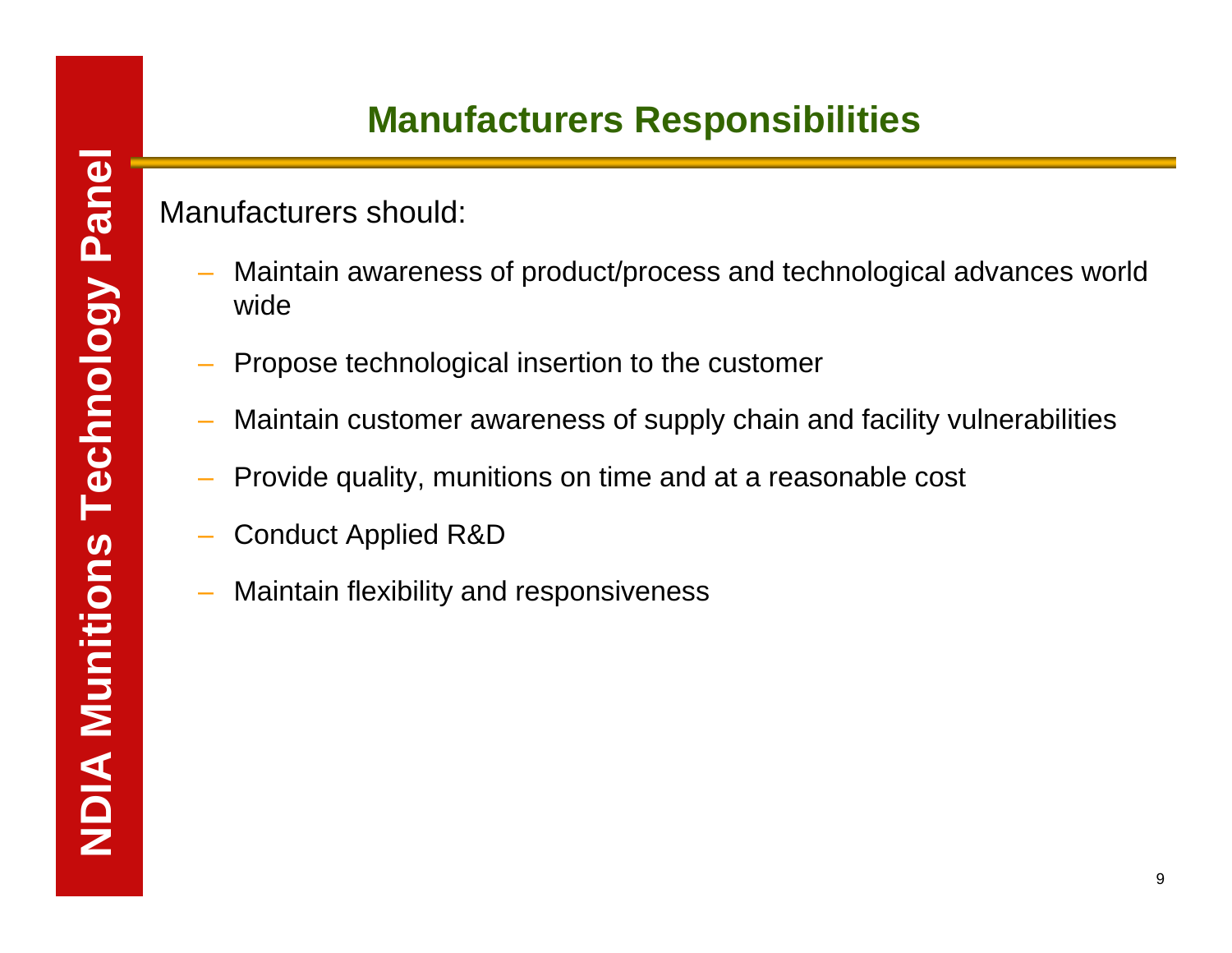# **Manufacturers Responsibilities**

### Manufacturers should:

- Maintain awareness of product/process and technological advances world wide
- Propose technological insertion to the customer
- Maintain customer awareness of supply chain and facility vulnerabilities
- Provide quality, munitions on time and at a reasonable cost
- Conduct Applied R&D
- Maintain flexibility and responsiveness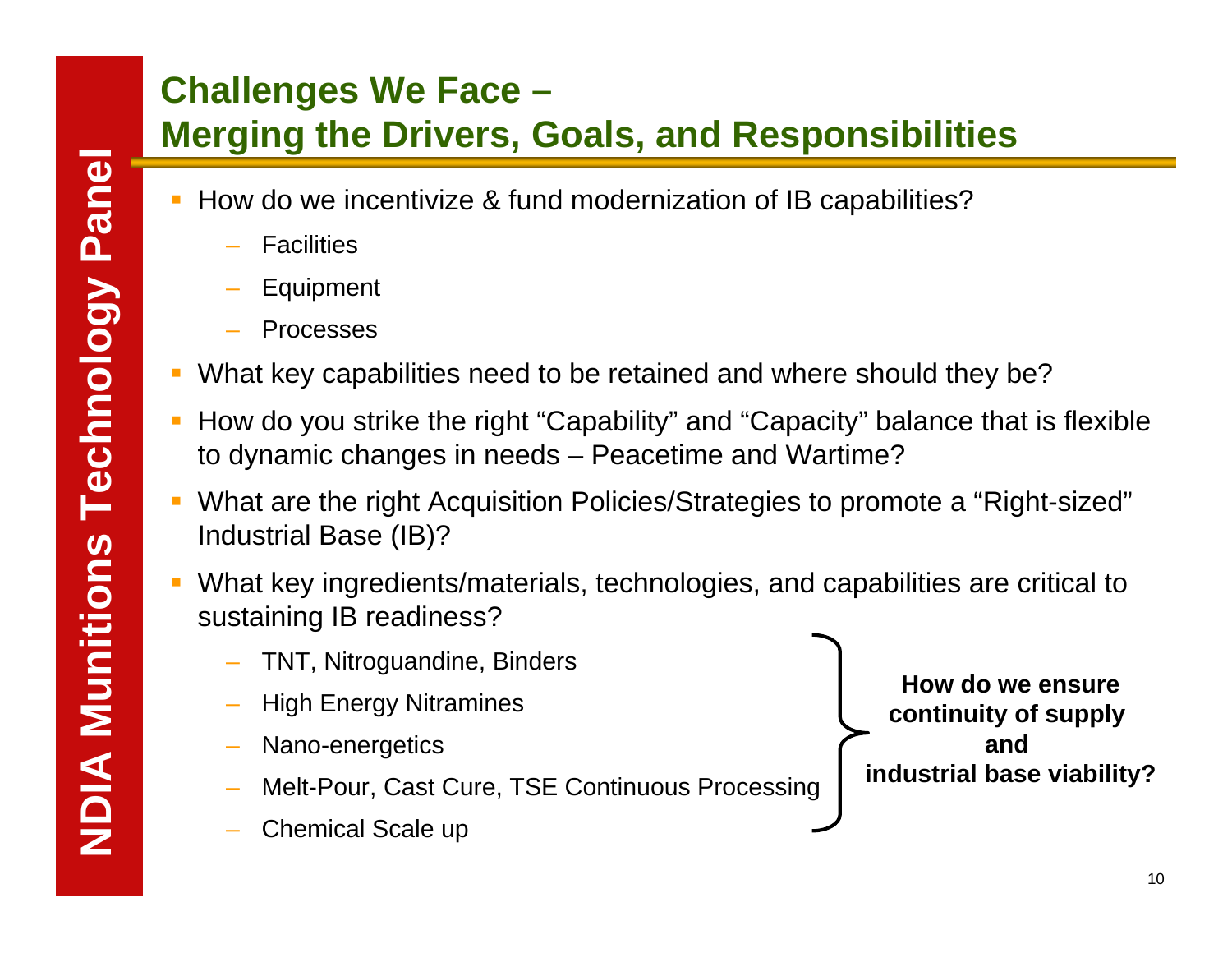# **Challenges We Face –**

# **Merging the Drivers, Goals, and Responsibilities**

- How do we incentivize & fund modernization of IB capabilities?
	- –**Facilities**
	- Equipment
	- Processes
- П What key capabilities need to be retained and where should they be?
- $\mathcal{L}_{\mathcal{A}}$  How do you strike the right "Capability" and "Capacity" balance that is flexible to dynamic changes in needs – Peacetime and Wartime?
- T. What are the right Acquisition Policies/Strategies to promote a "Right-sized" Industrial Base (IB)?
- $\mathcal{L}$  What key ingredients/materials, technologies, and capabilities are critical to sustaining IB readiness?
	- TNT, Nitroguandine, Binders
	- High Energy Nitramines
	- Nano-energetics
	- Melt-Pour, Cast Cure, TSE Continuous Processing
	- Chemical Scale up

**How do we ensurecontinuity of supply and industrial base viability?**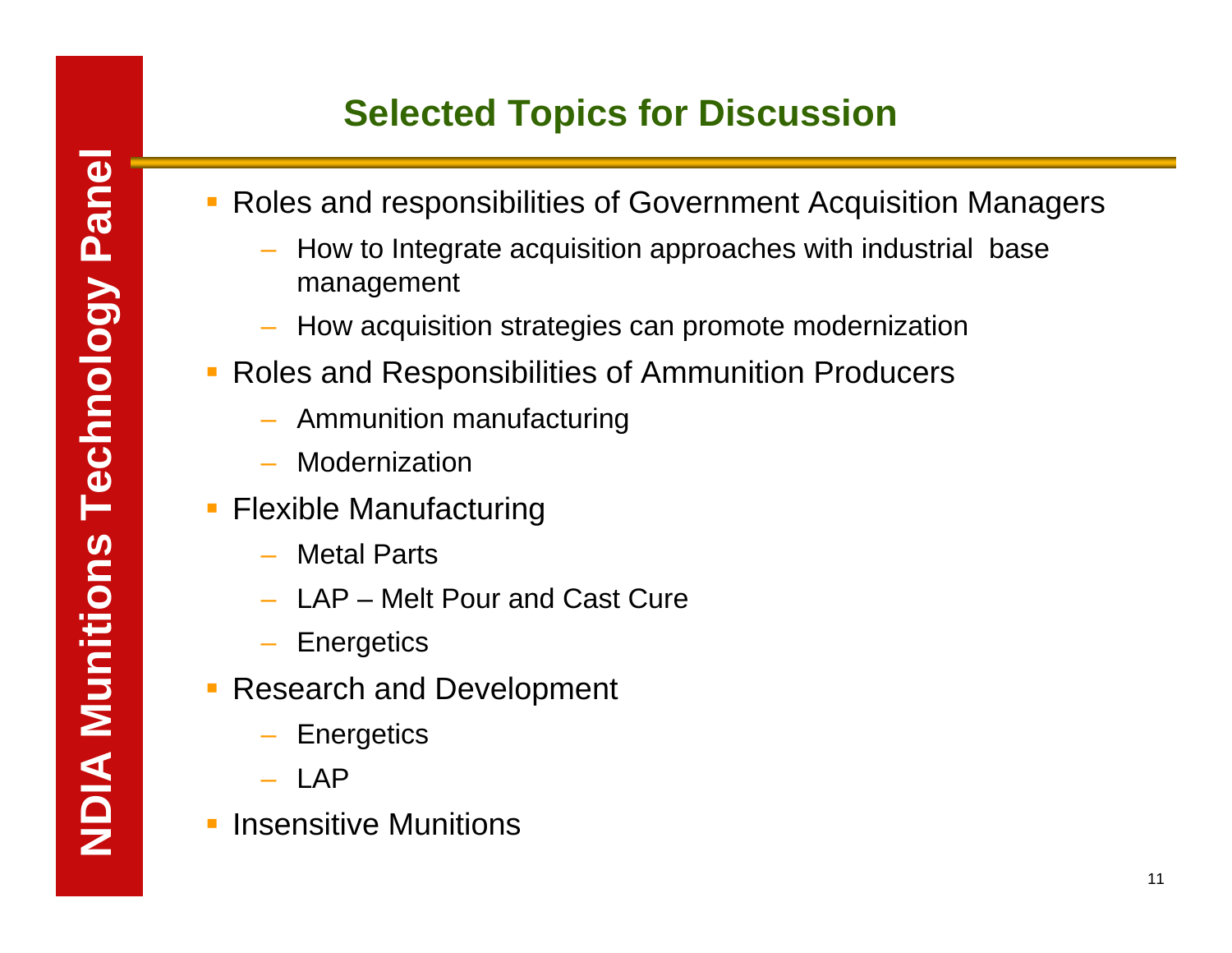# **Selected Topics for Discussion**

- $\mathbb{R}^2$  Roles and responsibilities of Government Acquisition Managers
	- How to Integrate acquisition approaches with industrial base management
	- How acquisition strategies can promote modernization
- Roles and Responsibilities of Ammunition Producers
	- Ammunition manufacturing
	- Modernization
- $\overline{\phantom{a}}$  Flexible Manufacturing
	- Metal Parts
	- LAP Melt Pour and Cast Cure
	- **Energetics**
- **Research and Development** 
	- **Energetics**
	- LAP
- $\overline{\phantom{a}}$ Insensitive Munitions